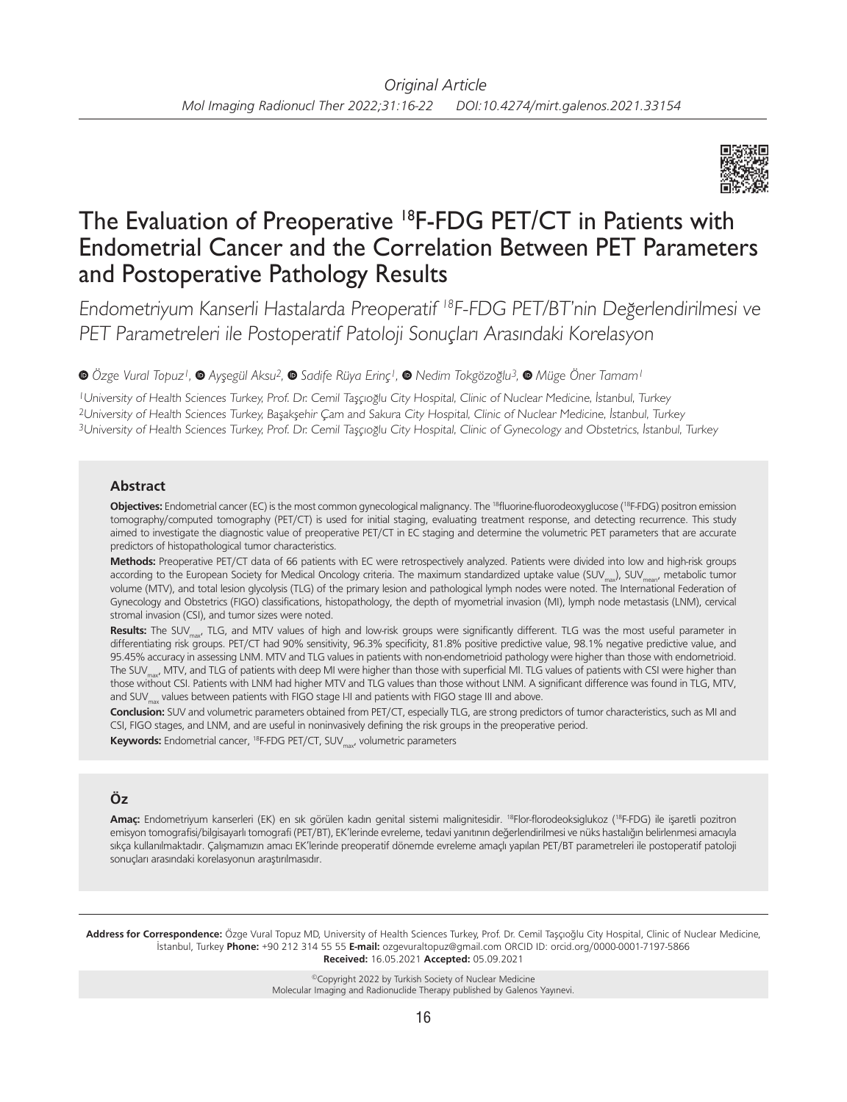

# The Evaluation of Preoperative <sup>18</sup>F-FDG PET/CT in Patients with Endometrial Cancer and the Correlation Between PET Parameters and Postoperative Pathology Results

Endometriyum Kanserli Hastalarda Preoperatif <sup>18</sup>F-FDG PET/BT'nin Değerlendirilmesi ve PET Parametreleri ile Postoperatif Patoloji Sonuçları Arasındaki Korelasyon

*Özge Vural Topuz1,Ayşegül Aksu2,Sadife Rüya Erinç1,Nedim Tokgözoğlu3,Müge Öner Tamam1*

<sup>1</sup>University of Health Sciences Turkey, Prof. Dr. Cemil Taşçıoğlu City Hospital, Clinic of Nuclear Medicine, İstanbul, Turkey <sup>2</sup>University of Health Sciences Turkey, Başakşehir Çam and Sakura City Hospital, Clinic of Nuclear Medicine, İstanbul, Turkey <sup>3</sup>University of Health Sciences Turkey, Prof. Dr. Cemil Taşçıoğlu City Hospital, Clinic of Gynecology and Obstetrics, İstanbul, Turkey

## **Abstract**

Objectives: Endometrial cancer (EC) is the most common gynecological malignancy. The <sup>18</sup>fluorine-fluorodeoxyglucose (<sup>18</sup>F-FDG) positron emission tomography/computed tomography (PET/CT) is used for initial staging, evaluating treatment response, and detecting recurrence. This study aimed to investigate the diagnostic value of preoperative PET/CT in EC staging and determine the volumetric PET parameters that are accurate predictors of histopathological tumor characteristics.

**Methods:** Preoperative PET/CT data of 66 patients with EC were retrospectively analyzed. Patients were divided into low and high-risk groups according to the European Society for Medical Oncology criteria. The maximum standardized uptake value (SUV<sub>max</sub>), SUV<sub>man</sub>, metabolic tumor volume (MTV), and total lesion glycolysis (TLG) of the primary lesion and pathological lymph nodes were noted. The International Federation of Gynecology and Obstetrics (FIGO) classifications, histopathology, the depth of myometrial invasion (MI), lymph node metastasis (LNM), cervical stromal invasion (CSI), and tumor sizes were noted.

Results: The SUV<sub>max</sub>, TLG, and MTV values of high and low-risk groups were significantly different. TLG was the most useful parameter in differentiating risk groups. PET/CT had 90% sensitivity, 96.3% specificity, 81.8% positive predictive value, 98.1% negative predictive value, and 95.45% accuracy in assessing LNM. MTV and TLG values in patients with non-endometrioid pathology were higher than those with endometrioid. The SUV<sub>max</sub>, MTV, and TLG of patients with deep MI were higher than those with superficial MI. TLG values of patients with CSI were higher than those without CSI. Patients with LNM had higher MTV and TLG values than those without LNM. A significant difference was found in TLG, MTV, and SUV<sub>max</sub> values between patients with FIGO stage I-II and patients with FIGO stage III and above.

**Conclusion:** SUV and volumetric parameters obtained from PET/CT, especially TLG, are strong predictors of tumor characteristics, such as MI and CSI, FIGO stages, and LNM, and are useful in noninvasively defining the risk groups in the preoperative period.

Keywords: Endometrial cancer, <sup>18</sup>F-FDG PET/CT, SUV<sub>max</sub>, volumetric parameters

# **Öz**

**Amaç:** Endometriyum kanserleri (EK) en sık görülen kadın genital sistemi malignitesidir. 18Flor-florodeoksiglukoz (18F-FDG) ile işaretli pozitron emisyon tomografisi/bilgisayarlı tomografi (PET/BT), EK'lerinde evreleme, tedavi yanıtının değerlendirilmesi ve nüks hastalığın belirlenmesi amacıyla sıkça kullanılmaktadır. Çalışmamızın amacı EK'lerinde preoperatif dönemde evreleme amaçlı yapılan PET/BT parametreleri ile postoperatif patoloji sonuçları arasındaki korelasyonun araştırılmasıdır.

**Address for Correspondence:** Özge Vural Topuz MD, University of Health Sciences Turkey, Prof. Dr. Cemil Taşçıoğlu City Hospital, Clinic of Nuclear Medicine, İstanbul, Turkey **Phone:** +90 212 314 55 55 **E-mail:** ozgevuraltopuz@gmail.com ORCID ID: orcid.org/0000-0001-7197-5866 **Received:** 16.05.2021 **Accepted:** 05.09.2021

> ©Copyright 2022 by Turkish Society of Nuclear Medicine Molecular Imaging and Radionuclide Therapy published by Galenos Yayınevi.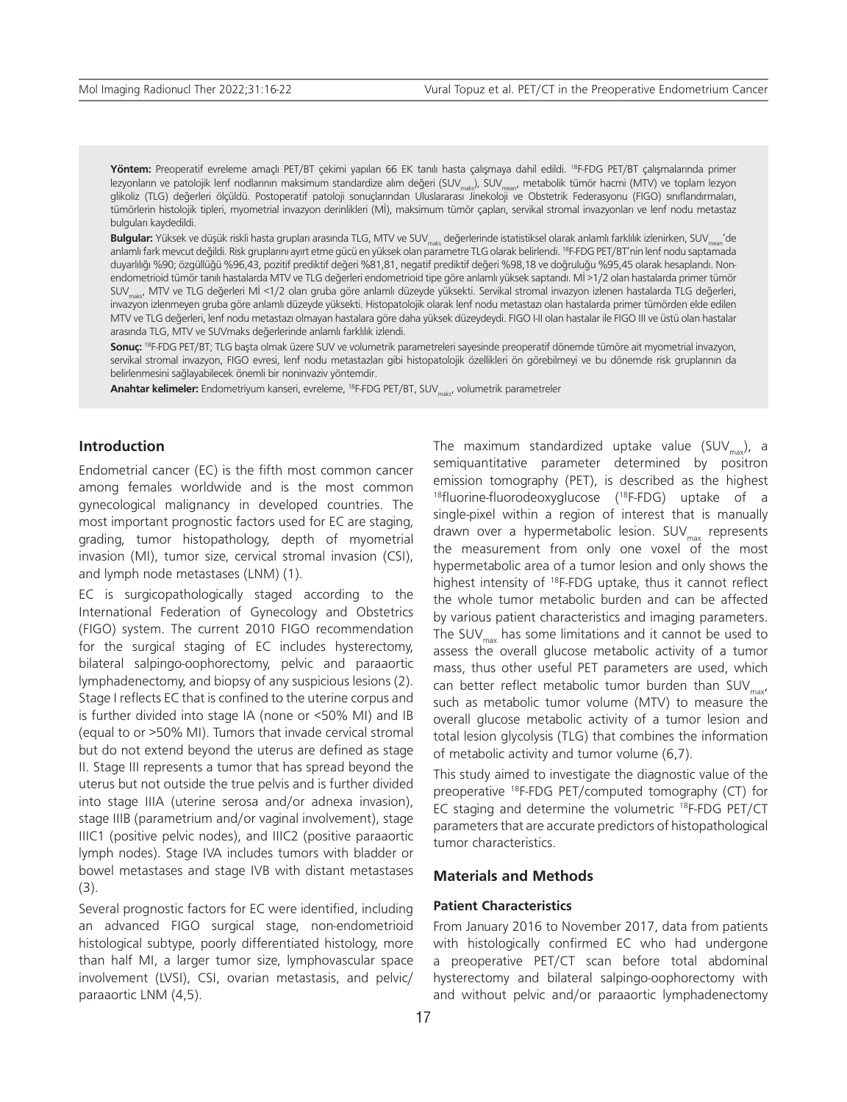**Yöntem:** Preoperatif evreleme amaçlı PET/BT çekimi yapılan 66 EK tanılı hasta çalışmaya dahil edildi. 18F-FDG PET/BT çalışmalarında primer lezyonların ve patolojik lenf nodlarının maksimum standardize alım değeri (SUV<sub>maks</sub>), SUV<sub>mean</sub>, metabolik tümör hacmi (MTV) ve toplam lezyon<br>glikoliz (TLG) değerleri ölçüldü. Postoperatif patoloji sonuçlarından Uluslarar tümörlerin histolojik tipleri, myometrial invazyon derinlikleri (Mİ), maksimum tümör çapları, servikal stromal invazyonları ve lenf nodu metastaz bulguları kaydedildi.

Bulgular: Yüksek ve düşük riskli hasta grupları arasında TLG, MTV ve SUV<sub>mak</sub> değerlerinde istatistiksel olarak anlamlı farklılık izlenirken, SUV<sub>mean</sub>'de anlamlı fark mevcut değildi. Risk gruplarını ayırt etme gücü en yüksek olan parametre TLG olarak belirlendi. 18F-FDG PET/BT'nin lenf nodu saptamada duyarlılığı %90; özgüllüğü %96,43, pozitif prediktif değeri %81,81, negatif prediktif değeri %98,18 ve doğruluğu %95,45 olarak hesaplandı. Nonendometrioid tümör tanılı hastalarda MTV ve TLG değerleri endometrioid tipe göre anlamlı yüksek saptandı. Mİ >1/2 olan hastalarda primer tümör SUV<sub>mikt</sub>, MTV ve TLG değerleri Mİ <1/2 olan gruba göre anlamlı düzeyde yüksekti. Servikal stromal invazyon izlenen hastalarda TLG değerleri, invazyon izlenmeyen gruba göre anlamlı düzeyde yüksekti. Histopatolojik olarak lenf nodu metastazı olan hastalarda primer tümörden elde edilen MTV ve TLG değerleri, lenf nodu metastazı olmayan hastalara göre daha yüksek düzeydeydi. FIGO I-II olan hastalar ile FIGO III ve üstü olan hastalar arasında TLG, MTV ve SUVmaks değerlerinde anlamlı farklılık izlendi.

**Sonuç:** 18F-FDG PET/BT; TLG başta olmak üzere SUV ve volumetrik parametreleri sayesinde preoperatif dönemde tümöre ait myometrial invazyon, servikal stromal invazyon, FIGO evresi, lenf nodu metastazları gibi histopatolojik özellikleri ön görebilmeyi ve bu dönemde risk gruplarının da belirlenmesini sağlayabilecek önemli bir noninvaziv yöntemdir.

**Anahtar kelimeler:** Endometriyum kanseri, evreleme, <sup>18</sup>F-FDG PET/BT, SUV<sub>makr</sub>, volumetrik parametreler

## **Introduction**

Endometrial cancer (EC) is the fifth most common cancer among females worldwide and is the most common gynecological malignancy in developed countries. The most important prognostic factors used for EC are staging, grading, tumor histopathology, depth of myometrial invasion (MI), tumor size, cervical stromal invasion (CSI), and lymph node metastases (LNM) (1).

EC is surgicopathologically staged according to the International Federation of Gynecology and Obstetrics (FIGO) system. The current 2010 FIGO recommendation for the surgical staging of EC includes hysterectomy, bilateral salpingo-oophorectomy, pelvic and paraaortic lymphadenectomy, and biopsy of any suspicious lesions (2). Stage I reflects EC that is confined to the uterine corpus and is further divided into stage IA (none or <50% MI) and IB (equal to or >50% MI). Tumors that invade cervical stromal but do not extend beyond the uterus are defined as stage II. Stage III represents a tumor that has spread beyond the uterus but not outside the true pelvis and is further divided into stage IIIA (uterine serosa and/or adnexa invasion), stage IIIB (parametrium and/or vaginal involvement), stage IIIC1 (positive pelvic nodes), and IIIC2 (positive paraaortic lymph nodes). Stage IVA includes tumors with bladder or bowel metastases and stage IVB with distant metastases (3).

Several prognostic factors for EC were identified, including an advanced FIGO surgical stage, non-endometrioid histological subtype, poorly differentiated histology, more than half MI, a larger tumor size, lymphovascular space involvement (LVSI), CSI, ovarian metastasis, and pelvic/ paraaortic LNM (4,5).

The maximum standardized uptake value (SUV<sub>max</sub>), a semiquantitative parameter determined by positron emission tomography (PET), is described as the highest 18fluorine-fluorodeoxyglucose (18F-FDG) uptake of a single-pixel within a region of interest that is manually drawn over a hypermetabolic lesion.  $SUV_{max}$  represents the measurement from only one voxel of the most hypermetabolic area of a tumor lesion and only shows the highest intensity of 18F-FDG uptake, thus it cannot reflect the whole tumor metabolic burden and can be affected by various patient characteristics and imaging parameters. The SUV<sub>max</sub> has some limitations and it cannot be used to assess the overall glucose metabolic activity of a tumor mass, thus other useful PET parameters are used, which can better reflect metabolic tumor burden than  $\text{SUV}_{\text{max}}$ such as metabolic tumor volume (MTV) to measure the overall glucose metabolic activity of a tumor lesion and total lesion glycolysis (TLG) that combines the information of metabolic activity and tumor volume (6,7).

This study aimed to investigate the diagnostic value of the preoperative 18F-FDG PET/computed tomography (CT) for EC staging and determine the volumetric 18F-FDG PET/CT parameters that are accurate predictors of histopathological tumor characteristics.

## **Materials and Methods**

## **Patient Characteristics**

From January 2016 to November 2017, data from patients with histologically confirmed EC who had undergone a preoperative PET/CT scan before total abdominal hysterectomy and bilateral salpingo-oophorectomy with and without pelvic and/or paraaortic lymphadenectomy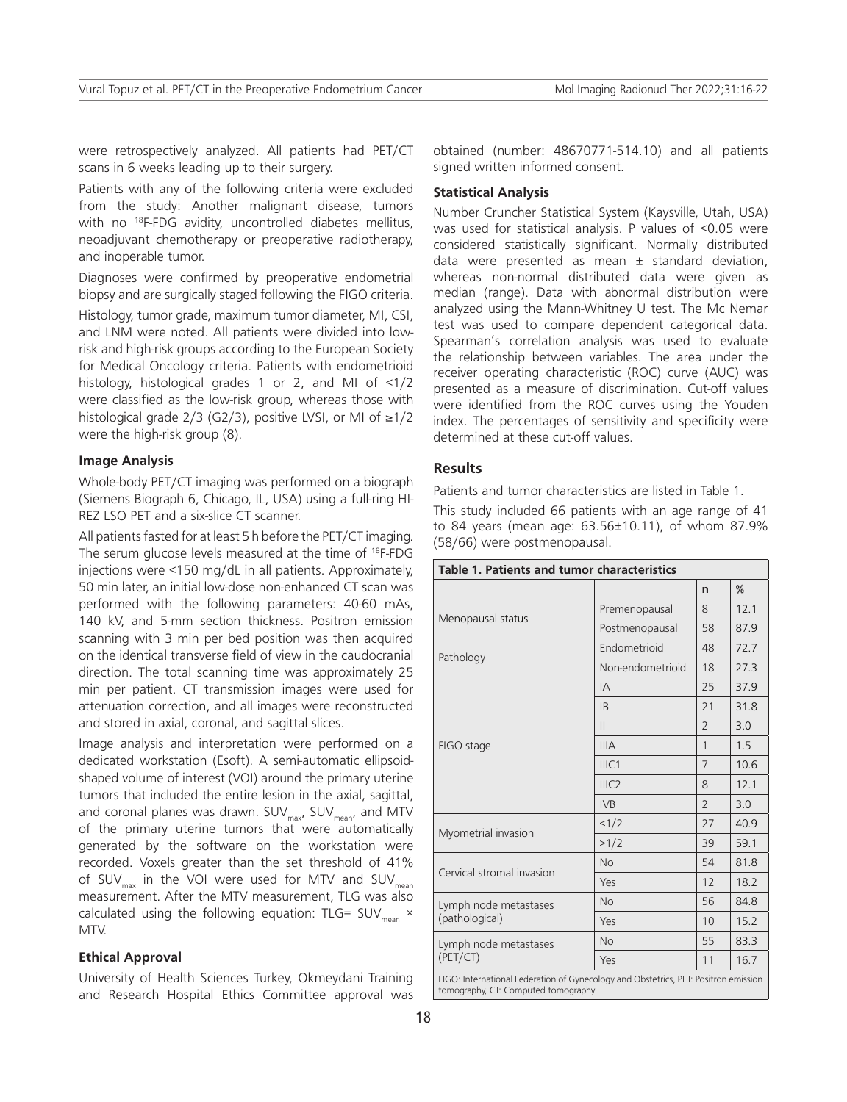were retrospectively analyzed. All patients had PET/CT scans in 6 weeks leading up to their surgery.

Patients with any of the following criteria were excluded from the study: Another malignant disease, tumors with no <sup>18</sup>F-FDG avidity, uncontrolled diabetes mellitus, neoadjuvant chemotherapy or preoperative radiotherapy, and inoperable tumor.

Diagnoses were confirmed by preoperative endometrial biopsy and are surgically staged following the FIGO criteria.

Histology, tumor grade, maximum tumor diameter, MI, CSI, and LNM were noted. All patients were divided into lowrisk and high-risk groups according to the European Society for Medical Oncology criteria. Patients with endometrioid histology, histological grades 1 or 2, and MI of <1/2 were classified as the low-risk group, whereas those with histological grade 2/3 (G2/3), positive LVSI, or MI of ≥1/2 were the high-risk group (8).

## **Image Analysis**

Whole-body PET/CT imaging was performed on a biograph (Siemens Biograph 6, Chicago, IL, USA) using a full-ring HI-REZ LSO PET and a six-slice CT scanner.

All patients fasted for at least 5 h before the PET/CT imaging. The serum glucose levels measured at the time of 18F-FDG injections were <150 mg/dL in all patients. Approximately, 50 min later, an initial low-dose non-enhanced CT scan was performed with the following parameters: 40-60 mAs, 140 kV, and 5-mm section thickness. Positron emission scanning with 3 min per bed position was then acquired on the identical transverse field of view in the caudocranial direction. The total scanning time was approximately 25 min per patient. CT transmission images were used for attenuation correction, and all images were reconstructed and stored in axial, coronal, and sagittal slices.

Image analysis and interpretation were performed on a dedicated workstation (Esoft). A semi-automatic ellipsoidshaped volume of interest (VOI) around the primary uterine tumors that included the entire lesion in the axial, sagittal, and coronal planes was drawn.  $\mathsf{SUV}_\mathsf{max}$ ,  $\mathsf{SUV}_\mathsf{mean}$ , and MTV of the primary uterine tumors that were automatically generated by the software on the workstation were recorded. Voxels greater than the set threshold of 41% of SUV<sub>max</sub> in the VOI were used for MTV and SUV<sub>mean</sub> measurement. After the MTV measurement, TLG was also calculated using the following equation: TLG= SUV<sub>mean</sub>  $\times$ MTV.

#### **Ethical Approval**

University of Health Sciences Turkey, Okmeydani Training and Research Hospital Ethics Committee approval was

obtained (number: 48670771-514.10) and all patients signed written informed consent.

#### **Statistical Analysis**

Number Cruncher Statistical System (Kaysville, Utah, USA) was used for statistical analysis. P values of <0.05 were considered statistically significant. Normally distributed data were presented as mean ± standard deviation, whereas non-normal distributed data were given as median (range). Data with abnormal distribution were analyzed using the Mann-Whitney U test. The Mc Nemar test was used to compare dependent categorical data. Spearman's correlation analysis was used to evaluate the relationship between variables. The area under the receiver operating characteristic (ROC) curve (AUC) was presented as a measure of discrimination. Cut-off values were identified from the ROC curves using the Youden index. The percentages of sensitivity and specificity were determined at these cut-off values.

## **Results**

Patients and tumor characteristics are listed in Table 1.

This study included 66 patients with an age range of 41 to 84 years (mean age: 63.56±10.11), of whom 87.9% (58/66) were postmenopausal.

| Table 1. Patients and tumor characteristics                                                                                |                  |                |      |  |  |  |
|----------------------------------------------------------------------------------------------------------------------------|------------------|----------------|------|--|--|--|
|                                                                                                                            |                  | n              | ℅    |  |  |  |
|                                                                                                                            | Premenopausal    | 8              | 12.1 |  |  |  |
| Menopausal status                                                                                                          | Postmenopausal   | 58             | 87.9 |  |  |  |
|                                                                                                                            | Endometrioid     | 48             | 72.7 |  |  |  |
| Pathology                                                                                                                  | Non-endometrioid | 18             | 27.3 |  |  |  |
| FIGO stage                                                                                                                 | IΑ               | 25             | 37.9 |  |  |  |
|                                                                                                                            | I <sub>B</sub>   | 21             | 31.8 |  |  |  |
|                                                                                                                            | $\mathsf{II}$    | $\overline{2}$ | 3.0  |  |  |  |
|                                                                                                                            | <b>IIIA</b>      | 1              | 1.5  |  |  |  |
|                                                                                                                            | IIIC1            | 7              | 10.6 |  |  |  |
|                                                                                                                            | IIIC2            | 8              | 12.1 |  |  |  |
|                                                                                                                            | <b>IVB</b>       | $\overline{2}$ | 3.0  |  |  |  |
| Myometrial invasion                                                                                                        | 1/2              | 27             | 40.9 |  |  |  |
|                                                                                                                            | >1/2             | 39             | 59.1 |  |  |  |
| Cervical stromal invasion                                                                                                  | <b>No</b>        | 54             | 81.8 |  |  |  |
|                                                                                                                            | Yes              | 12             | 18.2 |  |  |  |
| Lymph node metastases<br>(pathological)                                                                                    | <b>No</b>        | 56             | 84.8 |  |  |  |
|                                                                                                                            | Yes              | 10             | 15.2 |  |  |  |
| Lymph node metastases<br>(PET/CT)                                                                                          | No               | 55             | 83.3 |  |  |  |
|                                                                                                                            | Yes              | 11             | 16.7 |  |  |  |
| FIGO: International Federation of Gynecology and Obstetrics, PET: Positron emission<br>tomography, CT: Computed tomography |                  |                |      |  |  |  |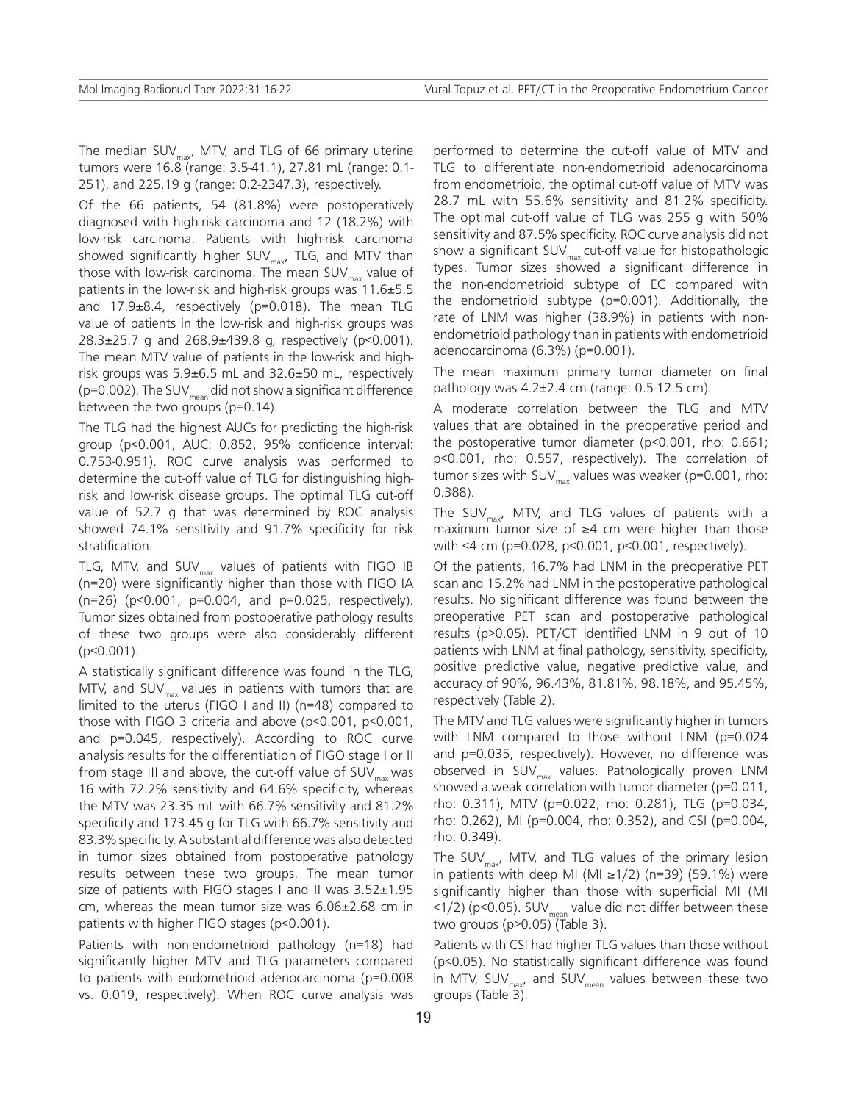The median SUV $_{\text{max}}$ , MTV, and TLG of 66 primary uterine tumors were 16.8 (range: 3.5-41.1), 27.81 mL (range: 0.1- 251), and 225.19 g (range: 0.2-2347.3), respectively.

Of the 66 patients, 54 (81.8%) were postoperatively diagnosed with high-risk carcinoma and 12 (18.2%) with low-risk carcinoma. Patients with high-risk carcinoma showed significantly higher SUV<sub>max</sub>, TLG, and MTV than those with low-risk carcinoma. The mean SUV $_{\text{max}}$  value of patients in the low-risk and high-risk groups was 11.6±5.5 and 17.9±8.4, respectively (p=0.018). The mean TLG value of patients in the low-risk and high-risk groups was 28.3 $\pm$ 25.7 g and 268.9 $\pm$ 439.8 g, respectively (p<0.001). The mean MTV value of patients in the low-risk and highrisk groups was  $5.9\pm6.5$  mL and  $32.6\pm50$  mL, respectively ( $p=0.002$ ). The SUV<sub>mean</sub> did not show a significant difference between the two groups (p=0.14).

The TLG had the highest AUCs for predicting the high-risk group (p<0.001, AUC: 0.852, 95% confidence interval: 0.753-0.951). ROC curve analysis was performed to determine the cut-off value of TLG for distinguishing highrisk and low-risk disease groups. The optimal TLG cut-off value of 52.7 g that was determined by ROC analysis showed 74.1% sensitivity and 91.7% specificity for risk stratification.

TLG, MTV, and SUV $_{\text{max}}$  values of patients with FIGO IB (n=20) were significantly higher than those with FIGO IA (n=26) (p<0.001, p=0.004, and p=0.025, respectively). Tumor sizes obtained from postoperative pathology results of these two groups were also considerably different (p<0.001).

A statistically significant difference was found in the TLG, MTV, and SUV $_{\text{max}}$  values in patients with tumors that are limited to the uterus (FIGO I and II) (n=48) compared to those with FIGO 3 criteria and above (p<0.001, p<0.001, and p=0.045, respectively). According to ROC curve analysis results for the differentiation of FIGO stage I or II from stage III and above, the cut-off value of  $\mathsf{SUV}_{\max}$  was 16 with 72.2% sensitivity and 64.6% specificity, whereas the MTV was 23.35 mL with 66.7% sensitivity and 81.2% specificity and 173.45 g for TLG with 66.7% sensitivity and 83.3% specificity. A substantial difference was also detected in tumor sizes obtained from postoperative pathology results between these two groups. The mean tumor size of patients with FIGO stages I and II was 3.52±1.95 cm, whereas the mean tumor size was 6.06±2.68 cm in patients with higher FIGO stages (p<0.001).

Patients with non-endometrioid pathology (n=18) had significantly higher MTV and TLG parameters compared to patients with endometrioid adenocarcinoma (p=0.008 vs. 0.019, respectively). When ROC curve analysis was

performed to determine the cut-off value of MTV and TLG to differentiate non-endometrioid adenocarcinoma from endometrioid, the optimal cut-off value of MTV was 28.7 mL with 55.6% sensitivity and 81.2% specificity. The optimal cut-off value of TLG was 255 g with 50% sensitivity and 87.5% specificity. ROC curve analysis did not show a significant  $SUV_{\text{max}}$  cut-off value for histopathologic types. Tumor sizes showed a significant difference in the non-endometrioid subtype of EC compared with the endometrioid subtype (p=0.001). Additionally, the rate of LNM was higher (38.9%) in patients with nonendometrioid pathology than in patients with endometrioid adenocarcinoma (6.3%) (p=0.001).

The mean maximum primary tumor diameter on final pathology was 4.2±2.4 cm (range: 0.5-12.5 cm).

A moderate correlation between the TLG and MTV values that are obtained in the preoperative period and the postoperative tumor diameter (p<0.001, rho: 0.661; p<0.001, rho: 0.557, respectively). The correlation of tumor sizes with SUV $_{\text{max}}$  values was weaker (p=0.001, rho: 0.388).

The SUV $_{\text{max}}$ , MTV, and TLG values of patients with a maximum tumor size of ≥4 cm were higher than those with <4 cm (p=0.028, p<0.001, p<0.001, respectively).

Of the patients, 16.7% had LNM in the preoperative PET scan and 15.2% had LNM in the postoperative pathological results. No significant difference was found between the preoperative PET scan and postoperative pathological results (p>0.05). PET/CT identified LNM in 9 out of 10 patients with LNM at final pathology, sensitivity, specificity, positive predictive value, negative predictive value, and accuracy of 90%, 96.43%, 81.81%, 98.18%, and 95.45%, respectively (Table 2).

The MTV and TLG values were significantly higher in tumors with LNM compared to those without LNM (p=0.024 and p=0.035, respectively). However, no difference was observed in SUV $_{\text{max}}$  values. Pathologically proven LNM showed a weak correlation with tumor diameter (p=0.011, rho: 0.311), MTV (p=0.022, rho: 0.281), TLG (p=0.034, rho: 0.262), MI (p=0.004, rho: 0.352), and CSI (p=0.004, rho: 0.349).

The SUV $_{\text{max}}$ , MTV, and TLG values of the primary lesion in patients with deep MI (MI ≥1/2) (n=39) (59.1%) were significantly higher than those with superficial MI (MI  $(1/2)$  (p<0.05). SUV<sub>mean</sub> value did not differ between these two groups (p>0.05) (Table 3).

Patients with CSI had higher TLG values than those without (p<0.05). No statistically significant difference was found in MTV, SUV $_{\text{max}}$ , and SUV $_{\text{mean}}$  values between these two groups (Table 3).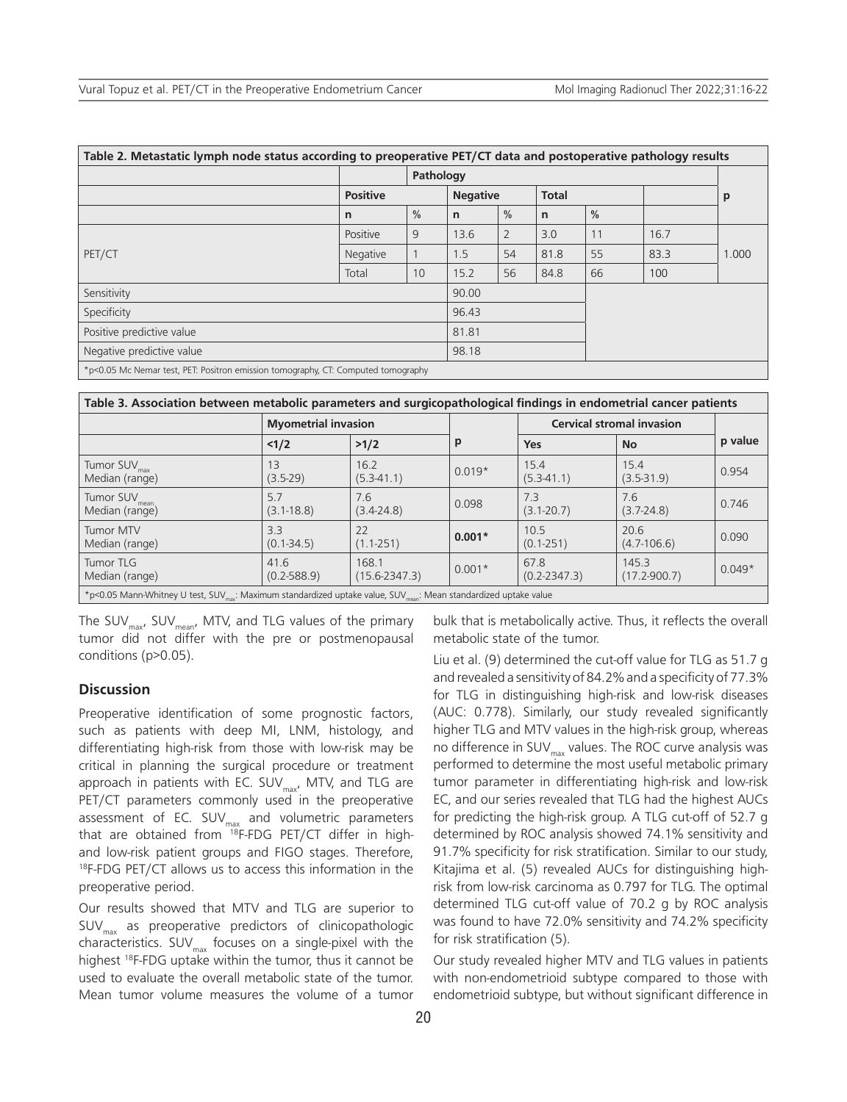| Table 2. Metastatic lymph node status according to preoperative PET/CT data and postoperative pathology results |                 |               |                 |                |              |               |      |       |
|-----------------------------------------------------------------------------------------------------------------|-----------------|---------------|-----------------|----------------|--------------|---------------|------|-------|
|                                                                                                                 | Pathology       |               |                 |                |              |               |      |       |
|                                                                                                                 | <b>Positive</b> |               | <b>Negative</b> |                | <b>Total</b> |               |      | p     |
|                                                                                                                 | n               | $\frac{0}{0}$ | $\mathsf{n}$    | $\frac{0}{0}$  | $\mathsf{n}$ | $\frac{0}{0}$ |      |       |
|                                                                                                                 | Positive        | 9             | 13.6            | $\overline{2}$ | 3.0          | 11            | 16.7 |       |
| PET/CT                                                                                                          | <b>Negative</b> |               | 1.5             | 54             | 81.8         | 55            | 83.3 | 1.000 |
|                                                                                                                 | Total           | 10            | 15.2            | 56             | 84.8         | 66            | 100  |       |
| Sensitivity                                                                                                     |                 |               | 90.00           |                |              |               |      |       |
| Specificity                                                                                                     |                 |               | 96.43           |                |              |               |      |       |
| Positive predictive value                                                                                       |                 |               | 81.81           |                |              |               |      |       |
| Negative predictive value                                                                                       |                 |               | 98.18           |                |              |               |      |       |
| *p<0.05 Mc Nemar test, PET: Positron emission tomography, CT: Computed tomography                               |                 |               |                 |                |              |               |      |       |

| Table 3. Association between metabolic parameters and surgicopathological findings in endometrial cancer patients                        |                            |                            |          |                                  |                           |          |  |  |
|------------------------------------------------------------------------------------------------------------------------------------------|----------------------------|----------------------------|----------|----------------------------------|---------------------------|----------|--|--|
|                                                                                                                                          | <b>Myometrial invasion</b> |                            |          | <b>Cervical stromal invasion</b> |                           |          |  |  |
|                                                                                                                                          | 1/2                        | >1/2                       | р        | <b>Yes</b>                       | <b>No</b>                 | p value  |  |  |
| Tumor SUV <sub>max</sub><br>Median (range)                                                                                               | 13<br>$(3.5-29)$           | 16.2<br>$(5.3 - 41.1)$     | $0.019*$ | 15.4<br>$(5.3 - 41.1)$           | 15.4<br>$(3.5 - 31.9)$    | 0.954    |  |  |
| Tumor SUV <sub>mean</sub><br>Median (range)                                                                                              | 5.7<br>$(3.1 - 18.8)$      | 7.6<br>$(3.4 - 24.8)$      | 0.098    | 7.3<br>$(3.1 - 20.7)$            | 7.6<br>$(3.7 - 24.8)$     | 0.746    |  |  |
| <b>Tumor MTV</b><br>Median (range)                                                                                                       | 3.3<br>$(0.1 - 34.5)$      | 22<br>$(1.1 - 251)$        | $0.001*$ | 10.5<br>$(0.1 - 251)$            | 20.6<br>$(4.7 - 106.6)$   | 0.090    |  |  |
| <b>Tumor TLG</b><br>Median (range)                                                                                                       | 41.6<br>$(0.2 - 588.9)$    | 168.1<br>$(15.6 - 2347.3)$ | $0.001*$ | 67.8<br>$(0.2 - 2347.3)$         | 145.3<br>$(17.2 - 900.7)$ | $0.049*$ |  |  |
| *p<0.05 Mann-Whitney U test, SUV <sub>my</sub> : Maximum standardized uptake value, SUV <sub>mone</sub> : Mean standardized uptake value |                            |                            |          |                                  |                           |          |  |  |

The SUV<sub>max</sub>, SUV<sub>mean</sub>, MTV, and TLG values of the primary tumor did not differ with the pre or postmenopausal conditions (p>0.05).

## **Discussion**

Preoperative identification of some prognostic factors, such as patients with deep MI, LNM, histology, and differentiating high-risk from those with low-risk may be critical in planning the surgical procedure or treatment approach in patients with EC.  $SUV_{max}$ , MTV, and TLG are PET/CT parameters commonly used in the preoperative assessment of EC.  $\textsf{SUV}_\textsf{max}$  and volumetric parameters that are obtained from 18F-FDG PET/CT differ in highand low-risk patient groups and FIGO stages. Therefore, 18F-FDG PET/CT allows us to access this information in the preoperative period.

Our results showed that MTV and TLG are superior to  $SUV_{\text{max}}$  as preoperative predictors of clinicopathologic characteristics. SUV $_{\text{max}}$  focuses on a single-pixel with the highest <sup>18</sup>F-FDG uptake within the tumor, thus it cannot be used to evaluate the overall metabolic state of the tumor. Mean tumor volume measures the volume of a tumor

bulk that is metabolically active. Thus, it reflects the overall metabolic state of the tumor.

Liu et al. (9) determined the cut-off value for TLG as 51.7 g and revealed a sensitivity of 84.2% and a specificity of 77.3% for TLG in distinguishing high-risk and low-risk diseases (AUC: 0.778). Similarly, our study revealed significantly higher TLG and MTV values in the high-risk group, whereas no difference in SUV $_{\text{max}}$  values. The ROC curve analysis was performed to determine the most useful metabolic primary tumor parameter in differentiating high-risk and low-risk EC, and our series revealed that TLG had the highest AUCs for predicting the high-risk group. A TLG cut-off of 52.7 g determined by ROC analysis showed 74.1% sensitivity and 91.7% specificity for risk stratification. Similar to our study, Kitajima et al. (5) revealed AUCs for distinguishing highrisk from low-risk carcinoma as 0.797 for TLG. The optimal determined TLG cut-off value of 70.2 g by ROC analysis was found to have 72.0% sensitivity and 74.2% specificity for risk stratification (5).

Our study revealed higher MTV and TLG values in patients with non-endometrioid subtype compared to those with endometrioid subtype, but without significant difference in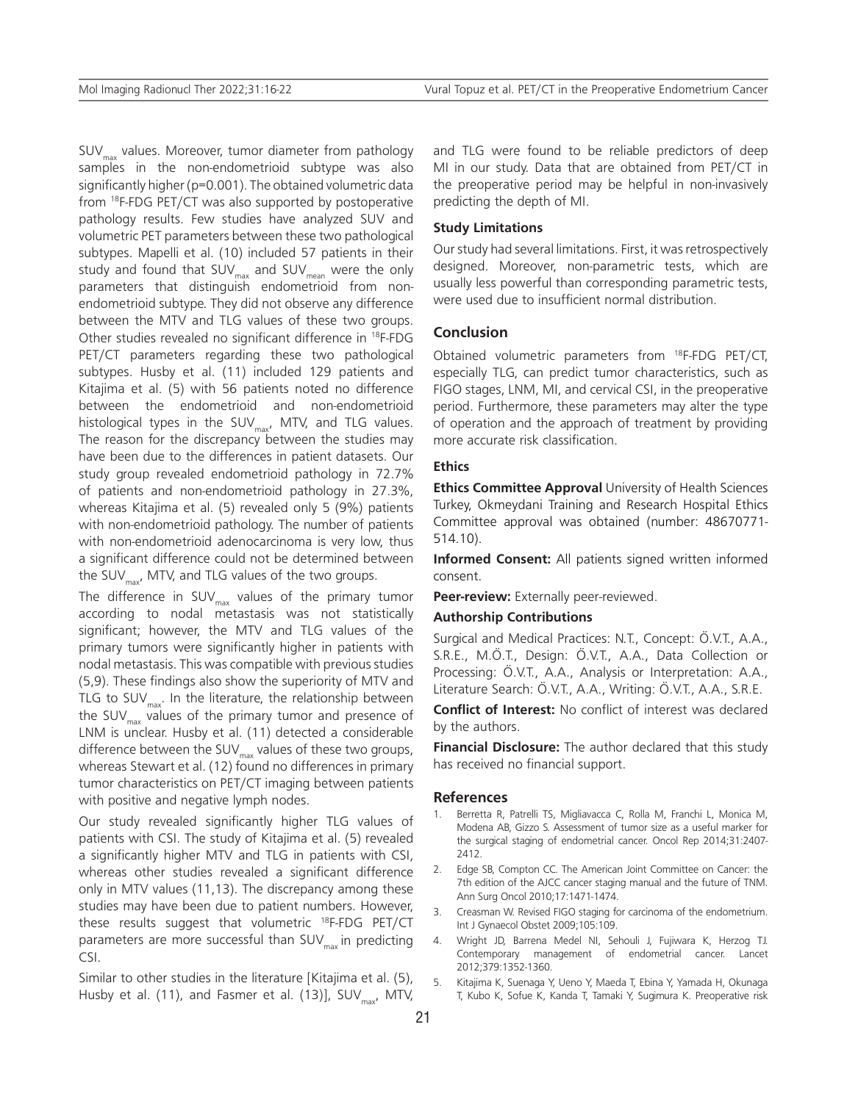$SUV_{\text{max}}$  values. Moreover, tumor diameter from pathology samples in the non-endometrioid subtype was also significantly higher (p=0.001). The obtained volumetric data from <sup>18</sup>F-FDG PET/CT was also supported by postoperative pathology results. Few studies have analyzed SUV and volumetric PET parameters between these two pathological subtypes. Mapelli et al. (10) included 57 patients in their study and found that  $\text{SUV}_{\text{max}}$  and  $\text{SUV}_{\text{mean}}$  were the only parameters that distinguish endometrioid from nonendometrioid subtype. They did not observe any difference between the MTV and TLG values of these two groups. Other studies revealed no significant difference in <sup>18</sup>F-FDG PET/CT parameters regarding these two pathological subtypes. Husby et al. (11) included 129 patients and Kitajima et al. (5) with 56 patients noted no difference between the endometrioid and non-endometrioid histological types in the SUV $_{\text{max}}$ , MTV, and TLG values. The reason for the discrepancy between the studies may have been due to the differences in patient datasets. Our study group revealed endometrioid pathology in 72.7% of patients and non-endometrioid pathology in 27.3%, whereas Kitajima et al. (5) revealed only 5 (9%) patients with non-endometrioid pathology. The number of patients with non-endometrioid adenocarcinoma is very low, thus a significant difference could not be determined between the SUV $_{\text{max}}$ , MTV, and TLG values of the two groups.

The difference in SUV $_{\text{max}}$  values of the primary tumor according to nodal metastasis was not statistically significant; however, the MTV and TLG values of the primary tumors were significantly higher in patients with nodal metastasis. This was compatible with previous studies (5,9). These findings also show the superiority of MTV and TLG to SUV $_{\text{max}}$ . In the literature, the relationship between the SUV $_{\text{max}}$  values of the primary tumor and presence of LNM is unclear. Husby et al. (11) detected a considerable difference between the SUV $_{\text{max}}$  values of these two groups, whereas Stewart et al. (12) found no differences in primary tumor characteristics on PET/CT imaging between patients with positive and negative lymph nodes.

Our study revealed significantly higher TLG values of patients with CSI. The study of Kitajima et al. (5) revealed a significantly higher MTV and TLG in patients with CSI, whereas other studies revealed a significant difference only in MTV values (11,13). The discrepancy among these studies may have been due to patient numbers. However, these results suggest that volumetric 18F-FDG PET/CT parameters are more successful than  $SUV_{max}$  in predicting CSI.

Similar to other studies in the literature [Kitajima et al. (5), Husby et al. (11), and Fasmer et al. (13)], SUV<sub>max</sub>, MTV,

and TLG were found to be reliable predictors of deep MI in our study. Data that are obtained from PET/CT in the preoperative period may be helpful in non-invasively predicting the depth of MI.

#### **Study Limitations**

Our study had several limitations. First, it was retrospectively designed. Moreover, non-parametric tests, which are usually less powerful than corresponding parametric tests, were used due to insufficient normal distribution.

#### **Conclusion**

Obtained volumetric parameters from 18F-FDG PET/CT, especially TLG, can predict tumor characteristics, such as FIGO stages, LNM, MI, and cervical CSI, in the preoperative period. Furthermore, these parameters may alter the type of operation and the approach of treatment by providing more accurate risk classification.

#### **Ethics**

**Ethics Committee Approval** University of Health Sciences Turkey, Okmeydani Training and Research Hospital Ethics Committee approval was obtained (number: 48670771- 514.10).

**Informed Consent:** All patients signed written informed consent.

**Peer-review:** Externally peer-reviewed.

## **Authorship Contributions**

Surgical and Medical Practices: N.T., Concept: Ö.V.T., A.A., S.R.E., M.Ö.T., Design: Ö.V.T., A.A., Data Collection or Processing: Ö.V.T., A.A., Analysis or Interpretation: A.A., Literature Search: Ö.V.T., A.A., Writing: Ö.V.T., A.A., S.R.E.

**Conflict of Interest:** No conflict of interest was declared by the authors.

**Financial Disclosure:** The author declared that this study has received no financial support.

#### **References**

- Berretta R, Patrelli TS, Migliavacca C, Rolla M, Franchi L, Monica M, Modena AB, Gizzo S. Assessment of tumor size as a useful marker for the surgical staging of endometrial cancer. Oncol Rep 2014;31:2407- 2412.
- 2. Edge SB, Compton CC. The American Joint Committee on Cancer: the 7th edition of the AJCC cancer staging manual and the future of TNM. Ann Surg Oncol 2010;17:1471-1474.
- 3. Creasman W. Revised FIGO staging for carcinoma of the endometrium. Int J Gynaecol Obstet 2009;105:109.
- 4. Wright JD, Barrena Medel NI, Sehouli J, Fujiwara K, Herzog TJ. Contemporary management of endometrial cancer. Lancet 2012;379:1352-1360.
- 5. Kitajima K, Suenaga Y, Ueno Y, Maeda T, Ebina Y, Yamada H, Okunaga T, Kubo K, Sofue K, Kanda T, Tamaki Y, Sugimura K. Preoperative risk